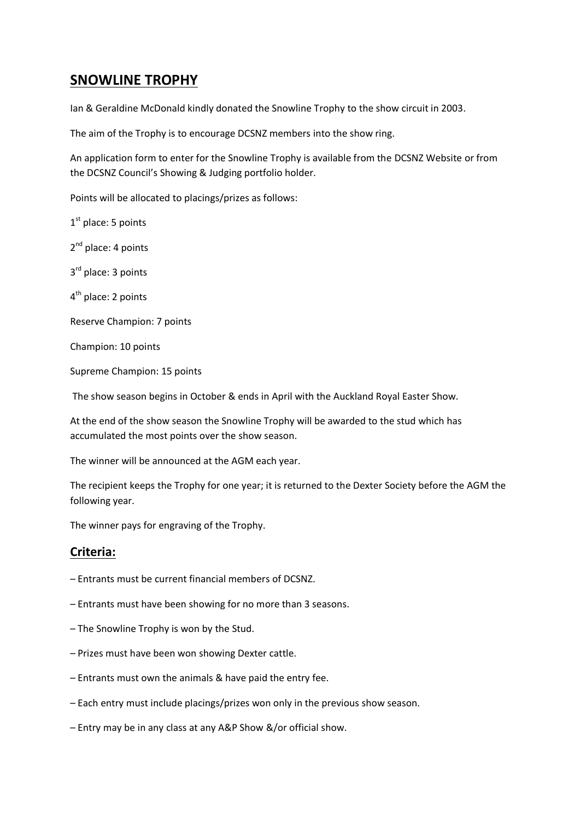## **SNOWLINE TROPHY**

Ian & Geraldine McDonald kindly donated the Snowline Trophy to the show circuit in 2003.

The aim of the Trophy is to encourage DCSNZ members into the show ring.

An application form to enter for the Snowline Trophy is available from the DCSNZ Website or from the DCSNZ Council's Showing & Judging portfolio holder.

Points will be allocated to placings/prizes as follows:

1<sup>st</sup> place: 5 points 2<sup>nd</sup> place: 4 points 3<sup>rd</sup> place: 3 points 4<sup>th</sup> place: 2 points Reserve Champion: 7 points Champion: 10 points Supreme Champion: 15 points

The show season begins in October & ends in April with the Auckland Royal Easter Show.

At the end of the show season the Snowline Trophy will be awarded to the stud which has accumulated the most points over the show season.

The winner will be announced at the AGM each year.

The recipient keeps the Trophy for one year; it is returned to the Dexter Society before the AGM the following year.

The winner pays for engraving of the Trophy.

## **Criteria:**

- Entrants must be current financial members of DCSNZ.
- Entrants must have been showing for no more than 3 seasons.
- The Snowline Trophy is won by the Stud.
- Prizes must have been won showing Dexter cattle.
- Entrants must own the animals & have paid the entry fee.
- Each entry must include placings/prizes won only in the previous show season.
- Entry may be in any class at any A&P Show &/or official show.